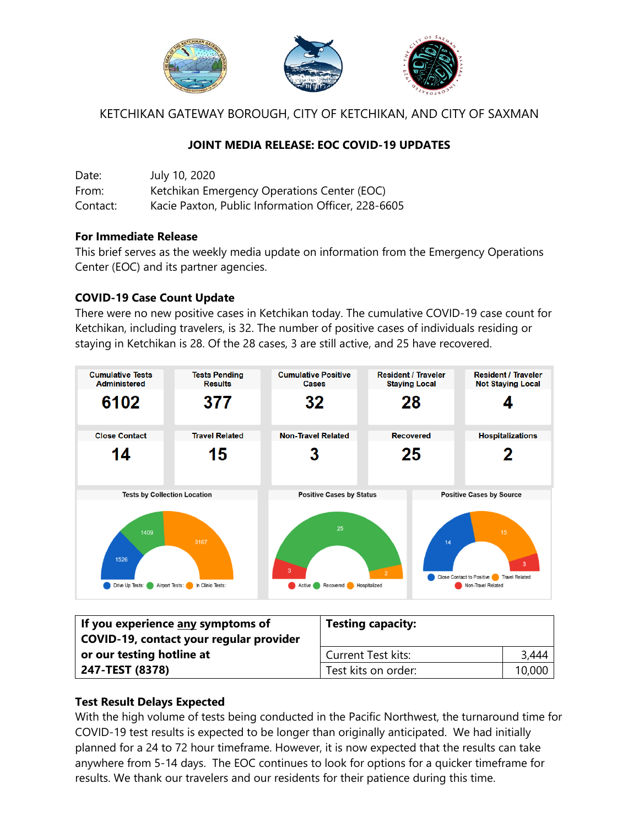

KETCHIKAN GATEWAY BOROUGH, CITY OF KETCHIKAN, AND CITY OF SAXMAN

## **JOINT MEDIA RELEASE: EOC COVID-19 UPDATES**

| Date:    | July 10, 2020                                      |
|----------|----------------------------------------------------|
| From:    | Ketchikan Emergency Operations Center (EOC)        |
| Contact: | Kacie Paxton, Public Information Officer, 228-6605 |

#### **For Immediate Release**

This brief serves as the weekly media update on information from the Emergency Operations Center (EOC) and its partner agencies.

### **COVID-19 Case Count Update**

There were no new positive cases in Ketchikan today. The cumulative COVID-19 case count for Ketchikan, including travelers, is 32. The number of positive cases of individuals residing or staying in Ketchikan is 28. Of the 28 cases, 3 are still active, and 25 have recovered.



| If you experience any symptoms of<br>COVID-19, contact your regular provider | <b>Testing capacity:</b>  |        |
|------------------------------------------------------------------------------|---------------------------|--------|
| or our testing hotline at                                                    | <b>Current Test kits:</b> | 3,444  |
| 247-TEST (8378)                                                              | Test kits on order:       | 10,000 |

# **Test Result Delays Expected**

With the high volume of tests being conducted in the Pacific Northwest, the turnaround time for COVID-19 test results is expected to be longer than originally anticipated. We had initially planned for a 24 to 72 hour timeframe. However, it is now expected that the results can take anywhere from 5-14 days. The EOC continues to look for options for a quicker timeframe for results. We thank our travelers and our residents for their patience during this time.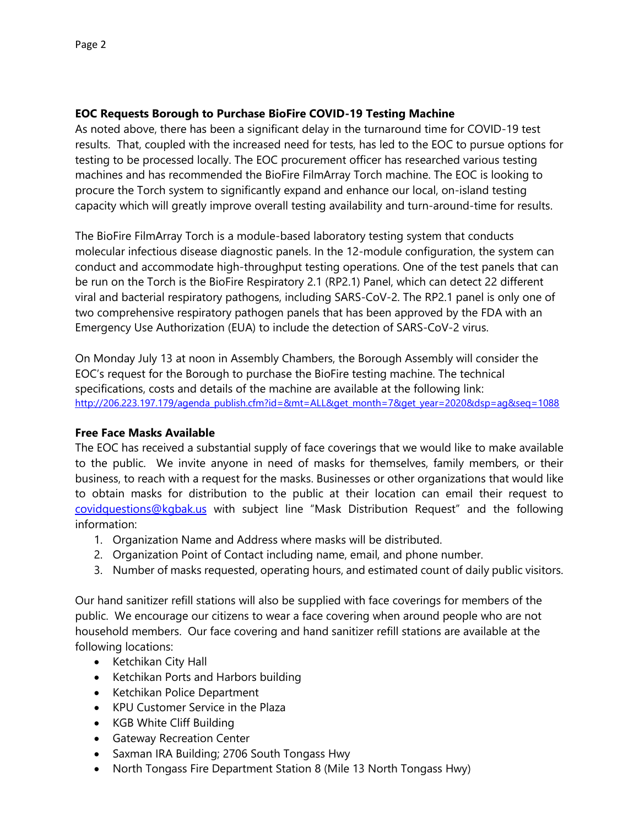#### **EOC Requests Borough to Purchase BioFire COVID-19 Testing Machine**

As noted above, there has been a significant delay in the turnaround time for COVID-19 test results. That, coupled with the increased need for tests, has led to the EOC to pursue options for testing to be processed locally. The EOC procurement officer has researched various testing machines and has recommended the BioFire FilmArray Torch machine. The EOC is looking to procure the Torch system to significantly expand and enhance our local, on-island testing capacity which will greatly improve overall testing availability and turn-around-time for results.

The BioFire FilmArray Torch is a module-based laboratory testing system that conducts molecular infectious disease diagnostic panels. In the 12-module configuration, the system can conduct and accommodate high-throughput testing operations. One of the test panels that can be run on the Torch is the BioFire Respiratory 2.1 (RP2.1) Panel, which can detect 22 different viral and bacterial respiratory pathogens, including SARS-CoV-2. The RP2.1 panel is only one of two comprehensive respiratory pathogen panels that has been approved by the FDA with an Emergency Use Authorization (EUA) to include the detection of SARS-CoV-2 virus.

On Monday July 13 at noon in Assembly Chambers, the Borough Assembly will consider the EOC's request for the Borough to purchase the BioFire testing machine. The technical specifications, costs and details of the machine are available at the following link: [http://206.223.197.179/agenda\\_publish.cfm?id=&mt=ALL&get\\_month=7&get\\_year=2020&dsp=ag&seq=1088](http://206.223.197.179/agenda_publish.cfm?id=&mt=ALL&get_month=7&get_year=2020&dsp=ag&seq=1088)

#### **Free Face Masks Available**

The EOC has received a substantial supply of face coverings that we would like to make available to the public. We invite anyone in need of masks for themselves, family members, or their business, to reach with a request for the masks. Businesses or other organizations that would like to obtain masks for distribution to the public at their location can email their request to [covidquestions@kgbak.us](mailto:covidquestions@kgbak.us) with subject line "Mask Distribution Request" and the following information:

- 1. Organization Name and Address where masks will be distributed.
- 2. Organization Point of Contact including name, email, and phone number.
- 3. Number of masks requested, operating hours, and estimated count of daily public visitors.

Our hand sanitizer refill stations will also be supplied with face coverings for members of the public. We encourage our citizens to wear a face covering when around people who are not household members. Our face covering and hand sanitizer refill stations are available at the following locations:

- Ketchikan City Hall
- Ketchikan Ports and Harbors building
- Ketchikan Police Department
- KPU Customer Service in the Plaza
- KGB White Cliff Building
- **•** Gateway Recreation Center
- Saxman IRA Building; 2706 South Tongass Hwy
- North Tongass Fire Department Station 8 (Mile 13 North Tongass Hwy)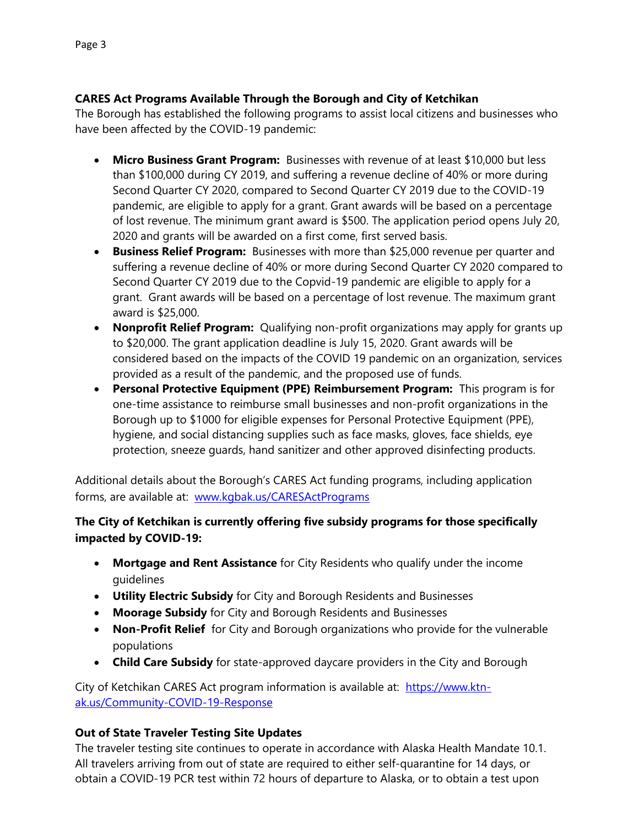## **CARES Act Programs Available Through the Borough and City of Ketchikan**

The Borough has established the following programs to assist local citizens and businesses who have been affected by the COVID-19 pandemic:

- **Micro Business Grant Program:** Businesses with revenue of at least \$10,000 but less than \$100,000 during CY 2019, and suffering a revenue decline of 40% or more during Second Quarter CY 2020, compared to Second Quarter CY 2019 due to the COVID-19 pandemic, are eligible to apply for a grant. Grant awards will be based on a percentage of lost revenue. The minimum grant award is \$500. The application period opens July 20, 2020 and grants will be awarded on a first come, first served basis.
- **Business Relief Program:** Businesses with more than \$25,000 revenue per quarter and suffering a revenue decline of 40% or more during Second Quarter CY 2020 compared to Second Quarter CY 2019 due to the Copvid-19 pandemic are eligible to apply for a grant. Grant awards will be based on a percentage of lost revenue. The maximum grant award is \$25,000.
- **Nonprofit Relief Program:** Qualifying non-profit organizations may apply for grants up to \$20,000. The grant application deadline is July 15, 2020. Grant awards will be considered based on the impacts of the COVID 19 pandemic on an organization, services provided as a result of the pandemic, and the proposed use of funds.
- **Personal Protective Equipment (PPE) Reimbursement Program:** This program is for one-time assistance to reimburse small businesses and non-profit organizations in the Borough up to \$1000 for eligible expenses for Personal Protective Equipment (PPE), hygiene, and social distancing supplies such as face masks, gloves, face shields, eye protection, sneeze guards, hand sanitizer and other approved disinfecting products.

Additional details about the Borough's CARES Act funding programs, including application forms, are available at: www.kgbak.us/CARESActPrograms

# **The City of Ketchikan is currently offering five subsidy programs for those specifically impacted by COVID-19:**

- **Mortgage and Rent Assistance** for City Residents who qualify under the income guidelines
- **Utility Electric Subsidy** for City and Borough Residents and Businesses
- **Moorage Subsidy** for City and Borough Residents and Businesses
- **Non-Profit Relief** for City and Borough organizations who provide for the vulnerable populations
- **Child Care Subsidy** for state-approved daycare providers in the City and Borough

City of Ketchikan CARES Act program information is available at:[https://www.ktn](https://us-east-2.protection.sophos.com/?d=ktn-ak.us&u=aHR0cHM6Ly93d3cua3RuLWFrLnVzL0NvbW11bml0eS1DT1ZJRC0xOS1SZXNwb25zZQ==&e=a2FjaWVwQGtnYmFrLnVz&t=YlVsVmhlMVdZK0dWa3VHc05ManM5bkVRZkRUL2Y3RkNMZUhNOUROUmVLaz0=&h=89b3364fe02f4b958e4d2aa7979ce3eb)[ak.us/Community-COVID-19-Response](https://us-east-2.protection.sophos.com/?d=ktn-ak.us&u=aHR0cHM6Ly93d3cua3RuLWFrLnVzL0NvbW11bml0eS1DT1ZJRC0xOS1SZXNwb25zZQ==&e=a2FjaWVwQGtnYmFrLnVz&t=YlVsVmhlMVdZK0dWa3VHc05ManM5bkVRZkRUL2Y3RkNMZUhNOUROUmVLaz0=&h=89b3364fe02f4b958e4d2aa7979ce3eb)

# **Out of State Traveler Testing Site Updates**

The traveler testing site continues to operate in accordance with Alaska Health Mandate 10.1. All travelers arriving from out of state are required to either self-quarantine for 14 days, or obtain a COVID-19 PCR test within 72 hours of departure to Alaska, or to obtain a test upon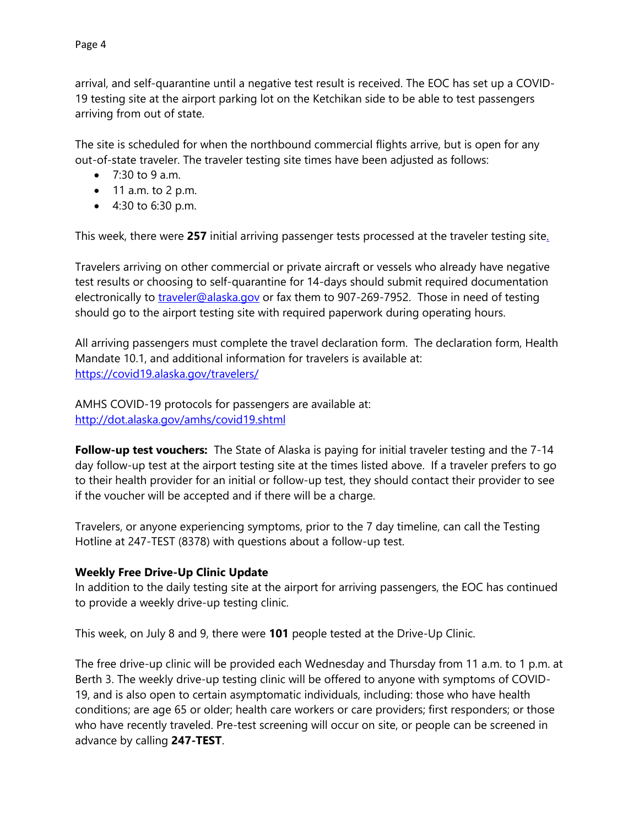arrival, and self-quarantine until a negative test result is received. The EOC has set up a COVID-19 testing site at the airport parking lot on the Ketchikan side to be able to test passengers arriving from out of state.

The site is scheduled for when the northbound commercial flights arrive, but is open for any out-of-state traveler. The traveler testing site times have been adjusted as follows:

- $\bullet$  7:30 to 9 a.m.
- $\bullet$  11 a.m. to 2 p.m.
- 4:30 to 6:30 p.m.

This week, there were **257** initial arriving passenger tests processed at the traveler testing site.

Travelers arriving on other commercial or private aircraft or vessels who already have negative test results or choosing to self-quarantine for 14-days should submit required documentation electronically to [traveler@alaska.gov](mailto:traveler@alaska.gov) or fax them to 907-269-7952. Those in need of testing should go to the airport testing site with required paperwork during operating hours.

All arriving passengers must complete the travel declaration form. The declaration form, Health Mandate 10.1, and additional information for travelers is available at: <https://covid19.alaska.gov/travelers/>

AMHS COVID-19 protocols for passengers are available at: <http://dot.alaska.gov/amhs/covid19.shtml>

**Follow-up test vouchers:** The State of Alaska is paying for initial traveler testing and the 7-14 day follow-up test at the airport testing site at the times listed above. If a traveler prefers to go to their health provider for an initial or follow-up test, they should contact their provider to see if the voucher will be accepted and if there will be a charge.

Travelers, or anyone experiencing symptoms, prior to the 7 day timeline, can call the Testing Hotline at 247-TEST (8378) with questions about a follow-up test.

### **Weekly Free Drive-Up Clinic Update**

In addition to the daily testing site at the airport for arriving passengers, the EOC has continued to provide a weekly drive-up testing clinic.

This week, on July 8 and 9, there were **101** people tested at the Drive-Up Clinic.

The free drive-up clinic will be provided each Wednesday and Thursday from 11 a.m. to 1 p.m. at Berth 3. The weekly drive-up testing clinic will be offered to anyone with symptoms of COVID-19, and is also open to certain asymptomatic individuals, including: those who have health conditions; are age 65 or older; health care workers or care providers; first responders; or those who have recently traveled. Pre-test screening will occur on site, or people can be screened in advance by calling **247-TEST**.